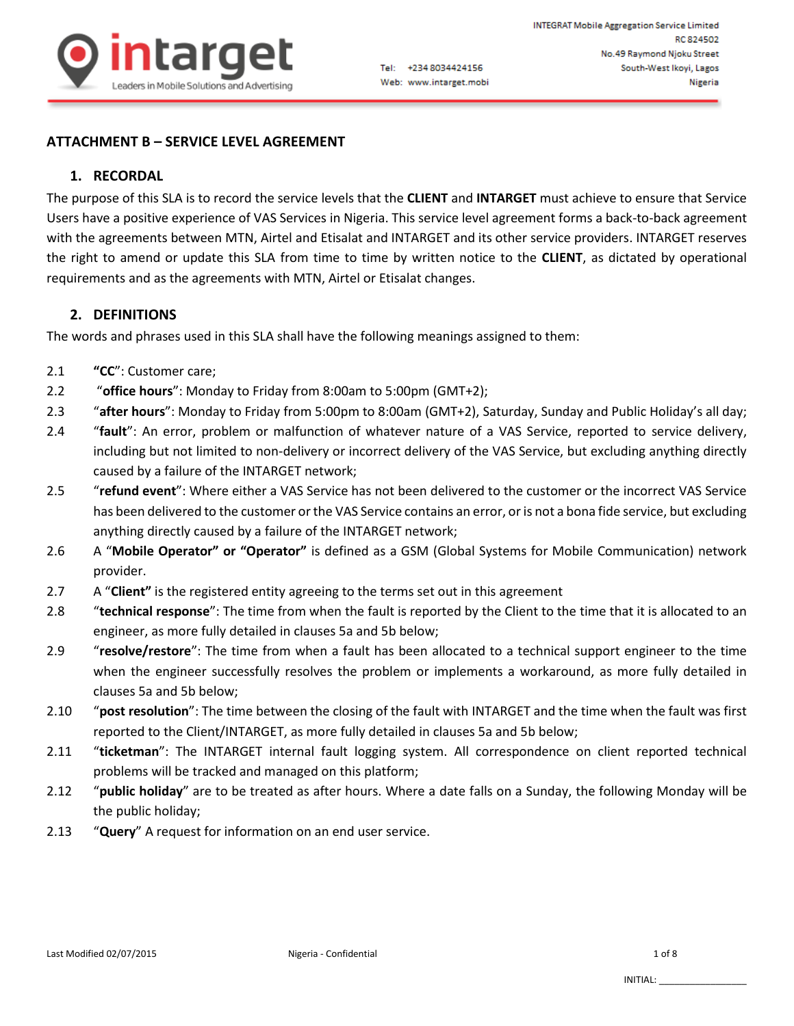

### **ATTACHMENT B – SERVICE LEVEL AGREEMENT**

# **1. RECORDAL**

The purpose of this SLA is to record the service levels that the **CLIENT** and **INTARGET** must achieve to ensure that Service Users have a positive experience of VAS Services in Nigeria. This service level agreement forms a back-to-back agreement with the agreements between MTN, Airtel and Etisalat and INTARGET and its other service providers. INTARGET reserves the right to amend or update this SLA from time to time by written notice to the **CLIENT**, as dictated by operational requirements and as the agreements with MTN, Airtel or Etisalat changes.

### **2. DEFINITIONS**

The words and phrases used in this SLA shall have the following meanings assigned to them:

- 2.1 **"CC**": Customer care;
- 2.2 "**office hours**": Monday to Friday from 8:00am to 5:00pm (GMT+2);
- 2.3 "**after hours**": Monday to Friday from 5:00pm to 8:00am (GMT+2), Saturday, Sunday and Public Holiday's all day;
- 2.4 "**fault**": An error, problem or malfunction of whatever nature of a VAS Service, reported to service delivery, including but not limited to non-delivery or incorrect delivery of the VAS Service, but excluding anything directly caused by a failure of the INTARGET network;
- 2.5 "**refund event**": Where either a VAS Service has not been delivered to the customer or the incorrect VAS Service has been delivered to the customer or the VAS Service contains an error, or is not a bona fide service, but excluding anything directly caused by a failure of the INTARGET network;
- 2.6 A "**Mobile Operator" or "Operator"** is defined as a GSM (Global Systems for Mobile Communication) network provider.
- 2.7 A "**Client"** is the registered entity agreeing to the terms set out in this agreement
- 2.8 "**technical response**": The time from when the fault is reported by the Client to the time that it is allocated to an engineer, as more fully detailed in clauses 5a and 5b below;
- 2.9 "**resolve/restore**": The time from when a fault has been allocated to a technical support engineer to the time when the engineer successfully resolves the problem or implements a workaround, as more fully detailed in clauses 5a and 5b below;
- 2.10 "**post resolution**": The time between the closing of the fault with INTARGET and the time when the fault was first reported to the Client/INTARGET, as more fully detailed in clauses 5a and 5b below;
- 2.11 "**ticketman**": The INTARGET internal fault logging system. All correspondence on client reported technical problems will be tracked and managed on this platform;
- 2.12 "**public holiday**" are to be treated as after hours. Where a date falls on a Sunday, the following Monday will be the public holiday;
- 2.13 "**Query**" A request for information on an end user service.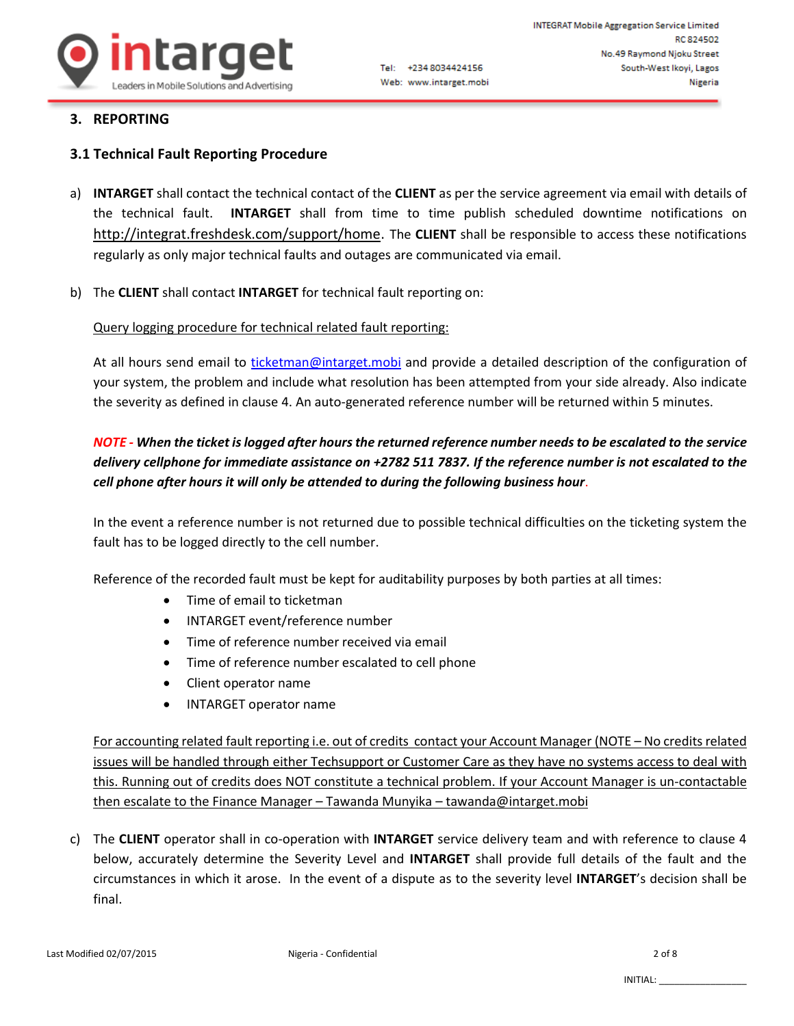

### **3. REPORTING**

### **3.1 Technical Fault Reporting Procedure**

- a) **INTARGET** shall contact the technical contact of the **CLIENT** as per the service agreement via email with details of the technical fault. **INTARGET** shall from time to time publish scheduled downtime notifications on [http://integrat.freshdesk.com/support/home.](http://integrat.freshdesk.com/support/home) The **CLIENT** shall be responsible to access these notifications regularly as only major technical faults and outages are communicated via email.
- b) The **CLIENT** shall contact **INTARGET** for technical fault reporting on:

### Query logging procedure for technical related fault reporting:

At all hours send email to [ticketman@intarget.mobi](mailto:ticketman@intarget.mobi) and provide a detailed description of the configuration of your system, the problem and include what resolution has been attempted from your side already. Also indicate the severity as defined in clause 4. An auto-generated reference number will be returned within 5 minutes.

# *NOTE - When the ticket is logged after hours the returned reference number needs to be escalated to the service delivery cellphone for immediate assistance on +2782 511 7837. If the reference number is not escalated to the cell phone after hours it will only be attended to during the following business hour*.

In the event a reference number is not returned due to possible technical difficulties on the ticketing system the fault has to be logged directly to the cell number.

Reference of the recorded fault must be kept for auditability purposes by both parties at all times:

- Time of email to ticketman
- INTARGET event/reference number
- Time of reference number received via email
- Time of reference number escalated to cell phone
- Client operator name
- INTARGET operator name

For accounting related fault reporting i.e. out of credits contact your Account Manager (NOTE – No credits related issues will be handled through either Techsupport or Customer Care as they have no systems access to deal with this. Running out of credits does NOT constitute a technical problem. If your Account Manager is un-contactable then escalate to the Finance Manager – Tawanda Munyika – tawanda@intarget.mobi

c) The **CLIENT** operator shall in co-operation with **INTARGET** service delivery team and with reference to clause 4 below, accurately determine the Severity Level and **INTARGET** shall provide full details of the fault and the circumstances in which it arose. In the event of a dispute as to the severity level **INTARGET**'s decision shall be final.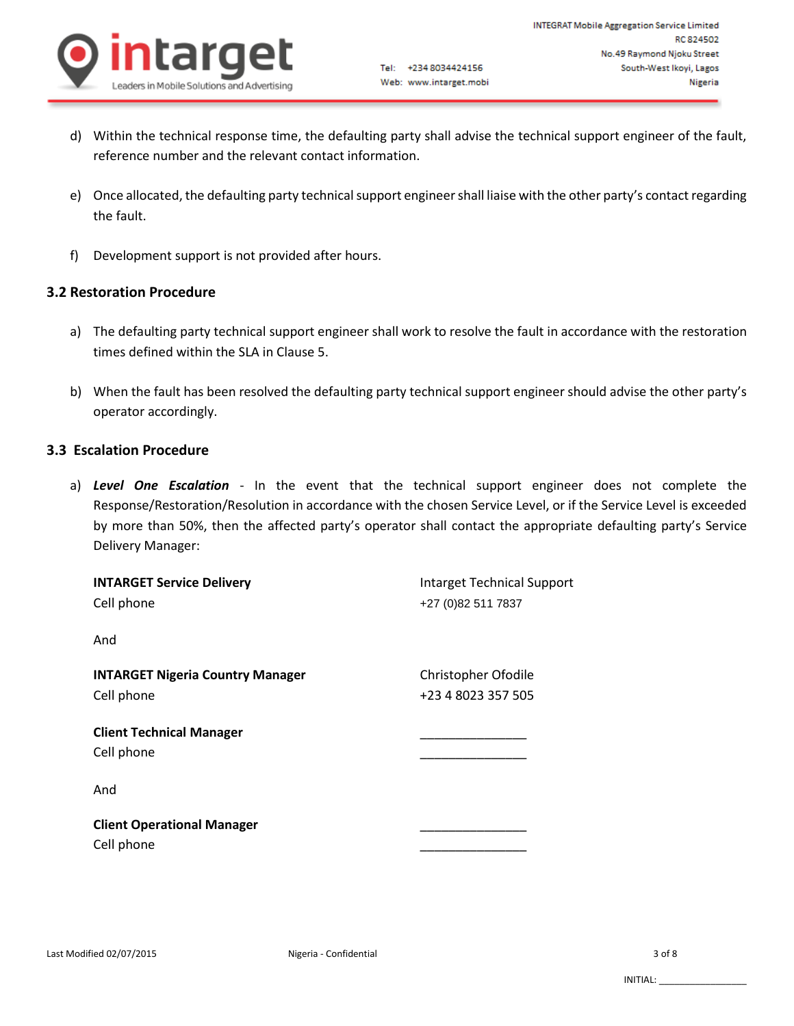

- d) Within the technical response time, the defaulting party shall advise the technical support engineer of the fault, reference number and the relevant contact information.
- e) Once allocated, the defaulting party technical support engineer shall liaise with the other party's contact regarding the fault.
- f) Development support is not provided after hours.

# **3.2 Restoration Procedure**

- a) The defaulting party technical support engineer shall work to resolve the fault in accordance with the restoration times defined within the SLA in Clause 5.
- b) When the fault has been resolved the defaulting party technical support engineer should advise the other party's operator accordingly.

### **3.3 Escalation Procedure**

a) *Level One Escalation* - In the event that the technical support engineer does not complete the Response/Restoration/Resolution in accordance with the chosen Service Level, or if the Service Level is exceeded by more than 50%, then the affected party's operator shall contact the appropriate defaulting party's Service Delivery Manager:

| <b>INTARGET Service Delivery</b><br>Cell phone        | <b>Intarget Technical Support</b><br>+27 (0)82 511 7837 |  |  |
|-------------------------------------------------------|---------------------------------------------------------|--|--|
| And                                                   |                                                         |  |  |
| <b>INTARGET Nigeria Country Manager</b><br>Cell phone | Christopher Ofodile<br>+23 4 8023 357 505               |  |  |
| <b>Client Technical Manager</b><br>Cell phone         |                                                         |  |  |
| And                                                   |                                                         |  |  |
| <b>Client Operational Manager</b><br>Cell phone       |                                                         |  |  |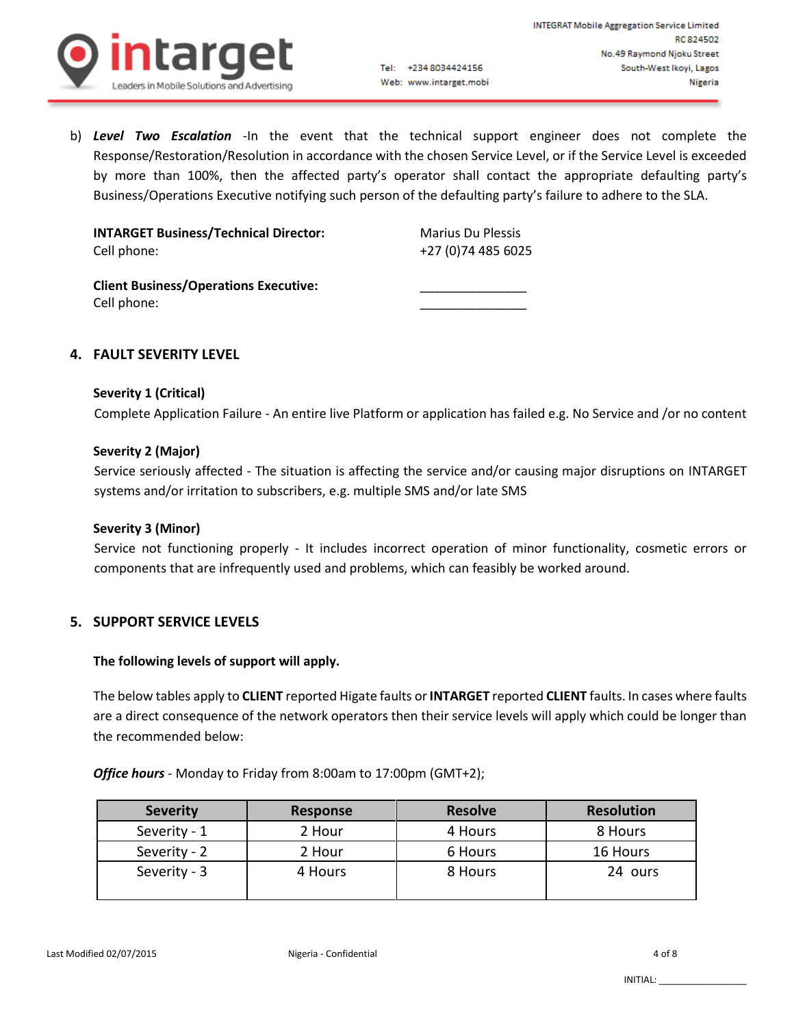

b) *Level Two Escalation* -In the event that the technical support engineer does not complete the Response/Restoration/Resolution in accordance with the chosen Service Level, or if the Service Level is exceeded by more than 100%, then the affected party's operator shall contact the appropriate defaulting party's Business/Operations Executive notifying such person of the defaulting party's failure to adhere to the SLA.

Tel: +234 8034424156

Web: www.intarget.mobi

| <b>INTARGET Business/Technical Director:</b>                | <b>Marius Du Plessis</b> |
|-------------------------------------------------------------|--------------------------|
| Cell phone:                                                 | +27 (0) 74 485 6025      |
| <b>Client Business/Operations Executive:</b><br>Cell phone: |                          |

### **4. FAULT SEVERITY LEVEL**

#### **Severity 1 (Critical)**

Complete Application Failure - An entire live Platform or application has failed e.g. No Service and /or no content

#### **Severity 2 (Major)**

Service seriously affected - The situation is affecting the service and/or causing major disruptions on INTARGET systems and/or irritation to subscribers, e.g. multiple SMS and/or late SMS

#### **Severity 3 (Minor)**

Service not functioning properly - It includes incorrect operation of minor functionality, cosmetic errors or components that are infrequently used and problems, which can feasibly be worked around.

#### **5. SUPPORT SERVICE LEVELS**

#### **The following levels of support will apply.**

The below tables apply to **CLIENT** reported Higate faults or **INTARGET** reported **CLIENT** faults. In cases where faults are a direct consequence of the network operators then their service levels will apply which could be longer than the recommended below:

*Office hours* - Monday to Friday from 8:00am to 17:00pm (GMT+2);

| <b>Severity</b> | <b>Response</b> | <b>Resolve</b> | <b>Resolution</b> |
|-----------------|-----------------|----------------|-------------------|
| Severity - 1    | 2 Hour          | 4 Hours        | 8 Hours           |
| Severity - 2    | 2 Hour          | 6 Hours        | 16 Hours          |
| Severity - 3    | 4 Hours         | 8 Hours        | 24 ours           |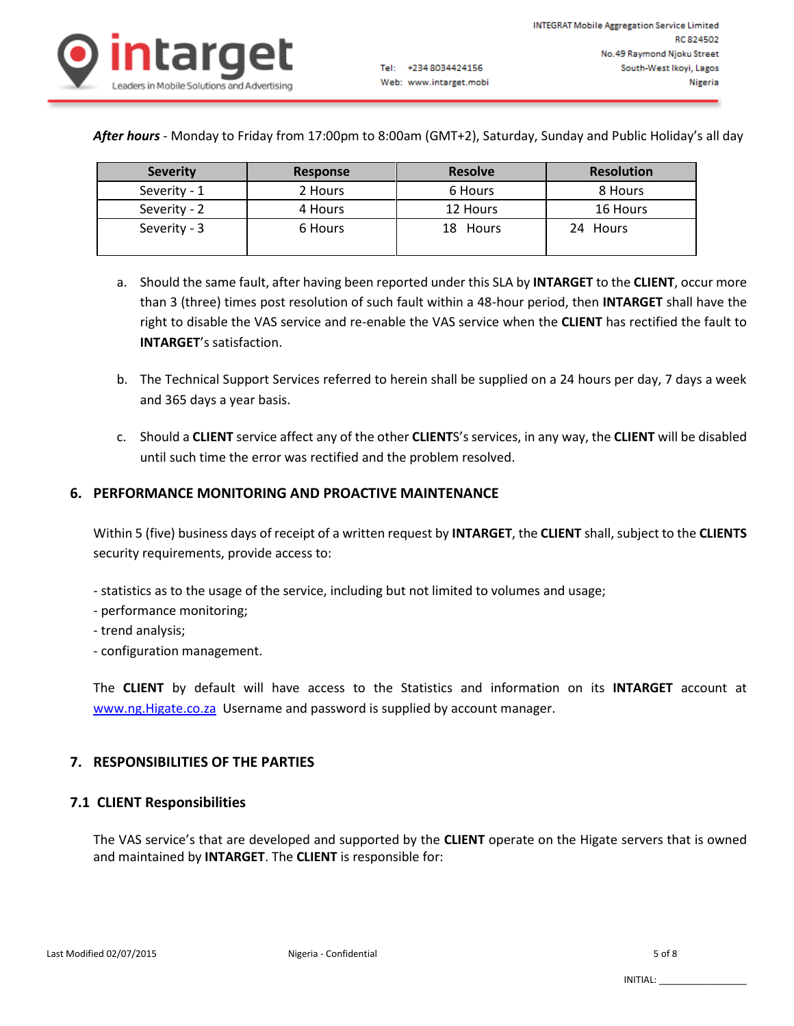

*After hours* - Monday to Friday from 17:00pm to 8:00am (GMT+2), Saturday, Sunday and Public Holiday's all day

Tel: +234 8034424156

Web: www.intarget.mobi

| <b>Severity</b> | Response | <b>Resolve</b> | <b>Resolution</b> |
|-----------------|----------|----------------|-------------------|
| Severity - 1    | 2 Hours  | 6 Hours        | 8 Hours           |
| Severity - 2    | 4 Hours  | 12 Hours       | 16 Hours          |
| Severity - 3    | 6 Hours  | 18 Hours       | 24 Hours          |

- a. Should the same fault, after having been reported under this SLA by **INTARGET** to the **CLIENT**, occur more than 3 (three) times post resolution of such fault within a 48-hour period, then **INTARGET** shall have the right to disable the VAS service and re-enable the VAS service when the **CLIENT** has rectified the fault to **INTARGET**'s satisfaction.
- b. The Technical Support Services referred to herein shall be supplied on a 24 hours per day, 7 days a week and 365 days a year basis.
- c. Should a **CLIENT** service affect any of the other **CLIENT**S's services, in any way, the **CLIENT** will be disabled until such time the error was rectified and the problem resolved.

### **6. PERFORMANCE MONITORING AND PROACTIVE MAINTENANCE**

Within 5 (five) business days of receipt of a written request by **INTARGET**, the **CLIENT** shall, subject to the **CLIENTS** security requirements, provide access to:

- statistics as to the usage of the service, including but not limited to volumes and usage;
- performance monitoring;
- trend analysis;
- configuration management.

The **CLIENT** by default will have access to the Statistics and information on its **INTARGET** account at [www.ng.Higate.co.za](http://www.ng.higate.co.za/) Username and password is supplied by account manager.

# **7. RESPONSIBILITIES OF THE PARTIES**

### **7.1 CLIENT Responsibilities**

The VAS service's that are developed and supported by the **CLIENT** operate on the Higate servers that is owned and maintained by **INTARGET**. The **CLIENT** is responsible for: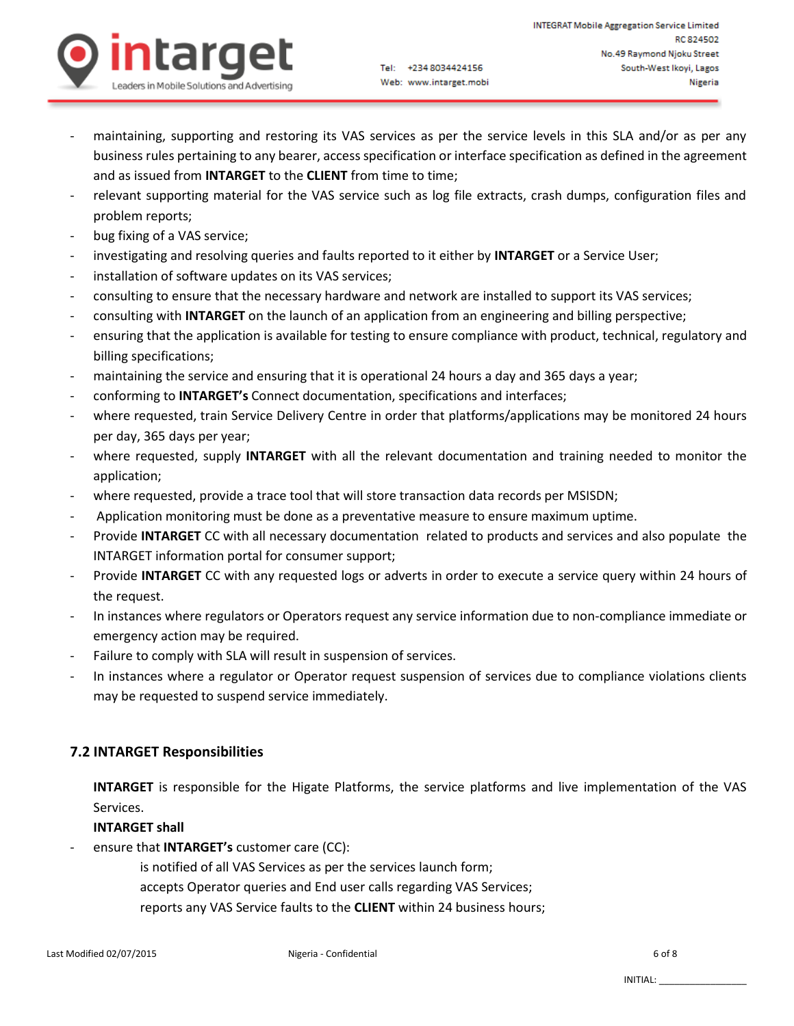

- maintaining, supporting and restoring its VAS services as per the service levels in this SLA and/or as per any business rules pertaining to any bearer, access specification or interface specification as defined in the agreement and as issued from **INTARGET** to the **CLIENT** from time to time;
- relevant supporting material for the VAS service such as log file extracts, crash dumps, configuration files and problem reports;
- bug fixing of a VAS service;
- investigating and resolving queries and faults reported to it either by **INTARGET** or a Service User;
- installation of software updates on its VAS services;
- consulting to ensure that the necessary hardware and network are installed to support its VAS services;
- consulting with **INTARGET** on the launch of an application from an engineering and billing perspective;
- ensuring that the application is available for testing to ensure compliance with product, technical, regulatory and billing specifications;
- maintaining the service and ensuring that it is operational 24 hours a day and 365 days a year;
- conforming to **INTARGET's** Connect documentation, specifications and interfaces;
- where requested, train Service Delivery Centre in order that platforms/applications may be monitored 24 hours per day, 365 days per year;
- where requested, supply **INTARGET** with all the relevant documentation and training needed to monitor the application;
- where requested, provide a trace tool that will store transaction data records per MSISDN;
- Application monitoring must be done as a preventative measure to ensure maximum uptime.
- Provide **INTARGET** CC with all necessary documentation related to products and services and also populate the INTARGET information portal for consumer support;
- Provide **INTARGET** CC with any requested logs or adverts in order to execute a service query within 24 hours of the request.
- In instances where regulators or Operators request any service information due to non-compliance immediate or emergency action may be required.
- Failure to comply with SLA will result in suspension of services.
- In instances where a regulator or Operator request suspension of services due to compliance violations clients may be requested to suspend service immediately.

# **7.2 INTARGET Responsibilities**

**INTARGET** is responsible for the Higate Platforms, the service platforms and live implementation of the VAS Services.

### **INTARGET shall**

- ensure that **INTARGET's** customer care (CC):
	- is notified of all VAS Services as per the services launch form;
	- accepts Operator queries and End user calls regarding VAS Services;
	- reports any VAS Service faults to the **CLIENT** within 24 business hours;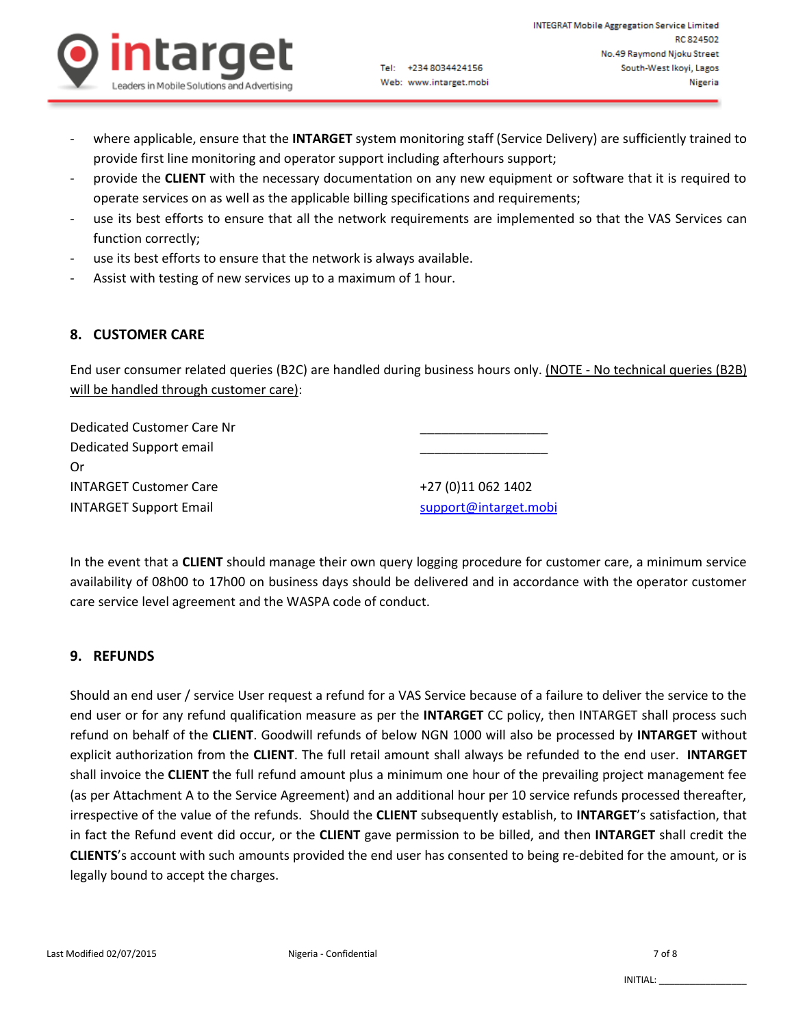

- where applicable, ensure that the **INTARGET** system monitoring staff (Service Delivery) are sufficiently trained to provide first line monitoring and operator support including afterhours support;
- provide the **CLIENT** with the necessary documentation on any new equipment or software that it is required to operate services on as well as the applicable billing specifications and requirements;
- use its best efforts to ensure that all the network requirements are implemented so that the VAS Services can function correctly;
- use its best efforts to ensure that the network is always available.
- Assist with testing of new services up to a maximum of 1 hour.

# **8. CUSTOMER CARE**

End user consumer related queries (B2C) are handled during business hours only. (NOTE - No technical queries (B2B) will be handled through customer care):

| Dedicated Customer Care Nr    |                       |
|-------------------------------|-----------------------|
| Dedicated Support email       |                       |
| Οr                            |                       |
| <b>INTARGET Customer Care</b> | +27 (0)11 062 1402    |
| <b>INTARGET Support Email</b> | support@intarget.mobi |

In the event that a **CLIENT** should manage their own query logging procedure for customer care, a minimum service availability of 08h00 to 17h00 on business days should be delivered and in accordance with the operator customer care service level agreement and the WASPA code of conduct.

# **9. REFUNDS**

Should an end user / service User request a refund for a VAS Service because of a failure to deliver the service to the end user or for any refund qualification measure as per the **INTARGET** CC policy, then INTARGET shall process such refund on behalf of the **CLIENT**. Goodwill refunds of below NGN 1000 will also be processed by **INTARGET** without explicit authorization from the **CLIENT**. The full retail amount shall always be refunded to the end user. **INTARGET** shall invoice the **CLIENT** the full refund amount plus a minimum one hour of the prevailing project management fee (as per Attachment A to the Service Agreement) and an additional hour per 10 service refunds processed thereafter, irrespective of the value of the refunds. Should the **CLIENT** subsequently establish, to **INTARGET**'s satisfaction, that in fact the Refund event did occur, or the **CLIENT** gave permission to be billed, and then **INTARGET** shall credit the **CLIENTS**'s account with such amounts provided the end user has consented to being re-debited for the amount, or is legally bound to accept the charges.